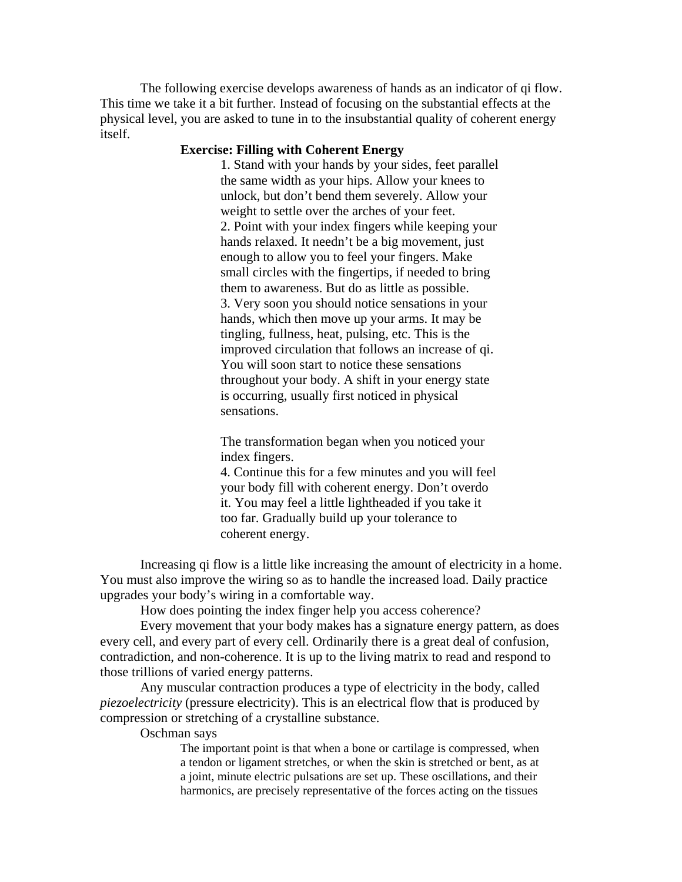The following exercise develops awareness of hands as an indicator of qi flow. This time we take it a bit further. Instead of focusing on the substantial effects at the physical level, you are asked to tune in to the insubstantial quality of coherent energy itself.

## **Exercise: Filling with Coherent Energy**

1. Stand with your hands by your sides, feet parallel the same width as your hips. Allow your knees to unlock, but don't bend them severely. Allow your weight to settle over the arches of your feet. 2. Point with your index fingers while keeping your hands relaxed. It needn't be a big movement, just enough to allow you to feel your fingers. Make small circles with the fingertips, if needed to bring them to awareness. But do as little as possible. 3. Very soon you should notice sensations in your hands, which then move up your arms. It may be tingling, fullness, heat, pulsing, etc. This is the improved circulation that follows an increase of qi. You will soon start to notice these sensations throughout your body. A shift in your energy state is occurring, usually first noticed in physical sensations.

The transformation began when you noticed your index fingers.

4. Continue this for a few minutes and you will feel your body fill with coherent energy. Don't overdo it. You may feel a little lightheaded if you take it too far. Gradually build up your tolerance to coherent energy.

Increasing qi flow is a little like increasing the amount of electricity in a home. You must also improve the wiring so as to handle the increased load. Daily practice upgrades your body's wiring in a comfortable way.

How does pointing the index finger help you access coherence?

Every movement that your body makes has a signature energy pattern, as does every cell, and every part of every cell. Ordinarily there is a great deal of confusion, contradiction, and non-coherence. It is up to the living matrix to read and respond to those trillions of varied energy patterns.

Any muscular contraction produces a type of electricity in the body, called *piezoelectricity* (pressure electricity). This is an electrical flow that is produced by compression or stretching of a crystalline substance.

Oschman says

The important point is that when a bone or cartilage is compressed, when a tendon or ligament stretches, or when the skin is stretched or bent, as at a joint, minute electric pulsations are set up. These oscillations, and their harmonics, are precisely representative of the forces acting on the tissues